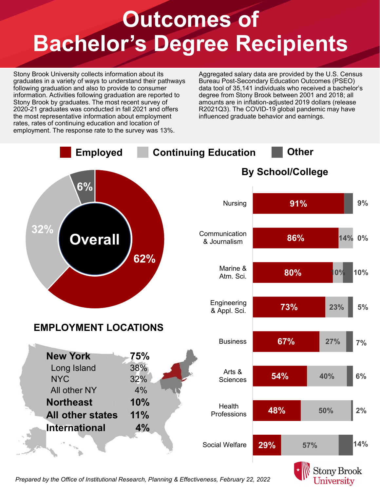## **Outcomes of Bachelor's Degree Recipients**

Stony Brook University collects information about its graduates in a variety of ways to understand their pathways following graduation and also to provide to consumer information. Activities following graduation are reported to Stony Brook by graduates. The most recent survey of 2020-21 graduates was conducted in fall 2021 and offers the most representative information about employment rates, rates of continuing education and location of employment. The response rate to the survey was 13%.

Aggregated salary data are provided by the U.S. Census Bureau Post-Secondary Education Outcomes (PSEO) data tool of 35,141 individuals who received a bachelor's degree from Stony Brook between 2001 and 2018; all amounts are in inflation-adjusted 2019 dollars (release R2021Q3). The COVID-19 global pandemic may have influenced graduate behavior and earnings.



*Prepared by the Office of Institutional Research, Planning & Effectiveness, February 22, 2022*